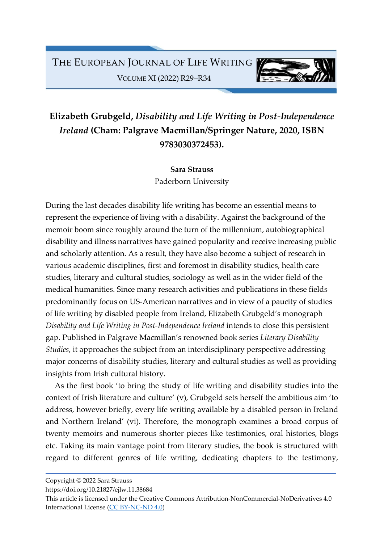

## Elizabeth Grubgeld, Disability and Life Writing in Post-Independence Ireland (Cham: Palgrave Macmillan/Springer Nature, 2020, ISBN 9783030372453).

Sara Strauss Paderborn University

During the last decades disability life writing has become an essential means to represent the experience of living with a disability. Against the background of the memoir boom since roughly around the turn of the millennium, autobiographical disability and illness narratives have gained popularity and receive increasing public and scholarly attention. As a result, they have also become a subject of research in various academic disciplines, first and foremost in disability studies, health care studies, literary and cultural studies, sociology as well as in the wider field of the medical humanities. Since many research activities and publications in these fields predominantly focus on US-American narratives and in view of a paucity of studies of life writing by disabled people from Ireland, Elizabeth Grubgeld's monograph Disability and Life Writing in Post-Independence Ireland intends to close this persistent gap. Published in Palgrave Macmillan's renowned book series Literary Disability Studies, it approaches the subject from an interdisciplinary perspective addressing major concerns of disability studies, literary and cultural studies as well as providing insights from Irish cultural history.

As the first book 'to bring the study of life writing and disability studies into the context of Irish literature and culture' (v), Grubgeld sets herself the ambitious aim 'to address, however briefly, every life writing available by a disabled person in Ireland and Northern Ireland' (vi). Therefore, the monograph examines a broad corpus of twenty memoirs and numerous shorter pieces like testimonies, oral histories, blogs etc. Taking its main vantage point from literary studies, the book is structured with regard to different genres of life writing, dedicating chapters to the testimony,

Copyright © 2022 Sara Strauss

https://doi.org/10.21827/ejlw.11.38684

This article is licensed under the Creative Commons Attribution-NonCommercial-NoDerivatives 4.0 International License (CC BY-NC-ND 4.0)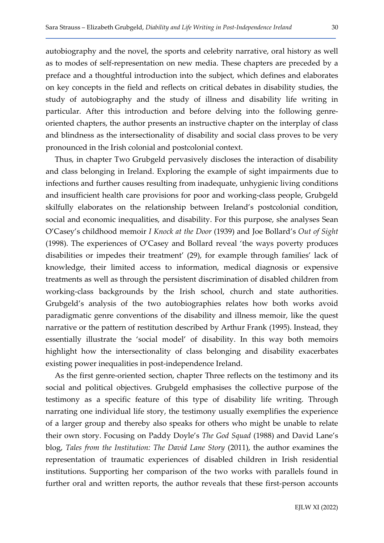autobiography and the novel, the sports and celebrity narrative, oral history as well as to modes of self-representation on new media. These chapters are preceded by a preface and a thoughtful introduction into the subject, which defines and elaborates on key concepts in the field and reflects on critical debates in disability studies, the study of autobiography and the study of illness and disability life writing in particular. After this introduction and before delving into the following genreoriented chapters, the author presents an instructive chapter on the interplay of class and blindness as the intersectionality of disability and social class proves to be very pronounced in the Irish colonial and postcolonial context.

Thus, in chapter Two Grubgeld pervasively discloses the interaction of disability and class belonging in Ireland. Exploring the example of sight impairments due to infections and further causes resulting from inadequate, unhygienic living conditions and insufficient health care provisions for poor and working-class people, Grubgeld skilfully elaborates on the relationship between Ireland's postcolonial condition, social and economic inequalities, and disability. For this purpose, she analyses Sean O'Casey's childhood memoir I Knock at the Door (1939) and Joe Bollard's Out of Sight (1998). The experiences of O'Casey and Bollard reveal 'the ways poverty produces disabilities or impedes their treatment' (29), for example through families' lack of knowledge, their limited access to information, medical diagnosis or expensive treatments as well as through the persistent discrimination of disabled children from working-class backgrounds by the Irish school, church and state authorities. Grubgeld's analysis of the two autobiographies relates how both works avoid paradigmatic genre conventions of the disability and illness memoir, like the quest narrative or the pattern of restitution described by Arthur Frank (1995). Instead, they essentially illustrate the 'social model' of disability. In this way both memoirs highlight how the intersectionality of class belonging and disability exacerbates existing power inequalities in post-independence Ireland.

As the first genre-oriented section, chapter Three reflects on the testimony and its social and political objectives. Grubgeld emphasises the collective purpose of the testimony as a specific feature of this type of disability life writing. Through narrating one individual life story, the testimony usually exemplifies the experience of a larger group and thereby also speaks for others who might be unable to relate their own story. Focusing on Paddy Doyle's The God Squad (1988) and David Lane's blog, Tales from the Institution: The David Lane Story (2011), the author examines the representation of traumatic experiences of disabled children in Irish residential institutions. Supporting her comparison of the two works with parallels found in further oral and written reports, the author reveals that these first-person accounts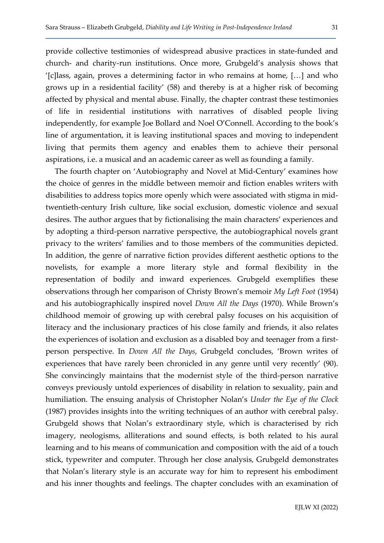provide collective testimonies of widespread abusive practices in state-funded and church- and charity-run institutions. Once more, Grubgeld's analysis shows that '[c]lass, again, proves a determining factor in who remains at home, […] and who grows up in a residential facility' (58) and thereby is at a higher risk of becoming affected by physical and mental abuse. Finally, the chapter contrast these testimonies of life in residential institutions with narratives of disabled people living independently, for example Joe Bollard and Noel O'Connell. According to the book's line of argumentation, it is leaving institutional spaces and moving to independent living that permits them agency and enables them to achieve their personal aspirations, i.e. a musical and an academic career as well as founding a family.

The fourth chapter on 'Autobiography and Novel at Mid-Century' examines how the choice of genres in the middle between memoir and fiction enables writers with disabilities to address topics more openly which were associated with stigma in midtwentieth-century Irish culture, like social exclusion, domestic violence and sexual desires. The author argues that by fictionalising the main characters' experiences and by adopting a third-person narrative perspective, the autobiographical novels grant privacy to the writers' families and to those members of the communities depicted. In addition, the genre of narrative fiction provides different aesthetic options to the novelists, for example a more literary style and formal flexibility in the representation of bodily and inward experiences. Grubgeld exemplifies these observations through her comparison of Christy Brown's memoir My Left Foot (1954) and his autobiographically inspired novel Down All the Days (1970). While Brown's childhood memoir of growing up with cerebral palsy focuses on his acquisition of literacy and the inclusionary practices of his close family and friends, it also relates the experiences of isolation and exclusion as a disabled boy and teenager from a firstperson perspective. In Down All the Days, Grubgeld concludes, 'Brown writes of experiences that have rarely been chronicled in any genre until very recently' (90). She convincingly maintains that the modernist style of the third-person narrative conveys previously untold experiences of disability in relation to sexuality, pain and humiliation. The ensuing analysis of Christopher Nolan's Under the Eye of the Clock (1987) provides insights into the writing techniques of an author with cerebral palsy. Grubgeld shows that Nolan's extraordinary style, which is characterised by rich imagery, neologisms, alliterations and sound effects, is both related to his aural learning and to his means of communication and composition with the aid of a touch stick, typewriter and computer. Through her close analysis, Grubgeld demonstrates that Nolan's literary style is an accurate way for him to represent his embodiment and his inner thoughts and feelings. The chapter concludes with an examination of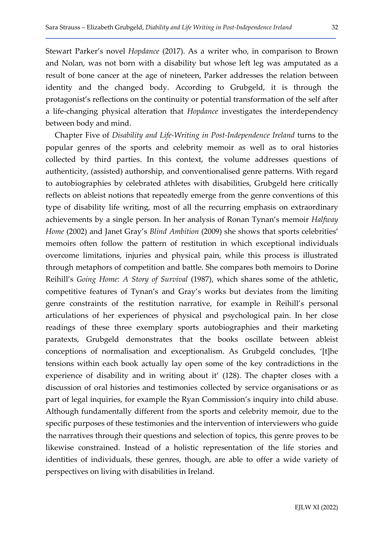Stewart Parker's novel Hopdance (2017). As a writer who, in comparison to Brown and Nolan, was not born with a disability but whose left leg was amputated as a result of bone cancer at the age of nineteen, Parker addresses the relation between identity and the changed body. According to Grubgeld, it is through the protagonist's reflections on the continuity or potential transformation of the self after a life-changing physical alteration that Hopdance investigates the interdependency between body and mind.

Chapter Five of Disability and Life-Writing in Post-Independence Ireland turns to the popular genres of the sports and celebrity memoir as well as to oral histories collected by third parties. In this context, the volume addresses questions of authenticity, (assisted) authorship, and conventionalised genre patterns. With regard to autobiographies by celebrated athletes with disabilities, Grubgeld here critically reflects on ableist notions that repeatedly emerge from the genre conventions of this type of disability life writing, most of all the recurring emphasis on extraordinary achievements by a single person. In her analysis of Ronan Tynan's memoir Halfway Home (2002) and Janet Gray's Blind Ambition (2009) she shows that sports celebrities' memoirs often follow the pattern of restitution in which exceptional individuals overcome limitations, injuries and physical pain, while this process is illustrated through metaphors of competition and battle. She compares both memoirs to Dorine Reihill's Going Home: A Story of Survival (1987), which shares some of the athletic, competitive features of Tynan's and Gray's works but deviates from the limiting genre constraints of the restitution narrative, for example in Reihill's personal articulations of her experiences of physical and psychological pain. In her close readings of these three exemplary sports autobiographies and their marketing paratexts, Grubgeld demonstrates that the books oscillate between ableist conceptions of normalisation and exceptionalism. As Grubgeld concludes, '[t]he tensions within each book actually lay open some of the key contradictions in the experience of disability and in writing about it' (128). The chapter closes with a discussion of oral histories and testimonies collected by service organisations or as part of legal inquiries, for example the Ryan Commission's inquiry into child abuse. Although fundamentally different from the sports and celebrity memoir, due to the specific purposes of these testimonies and the intervention of interviewers who guide the narratives through their questions and selection of topics, this genre proves to be likewise constrained. Instead of a holistic representation of the life stories and identities of individuals, these genres, though, are able to offer a wide variety of perspectives on living with disabilities in Ireland.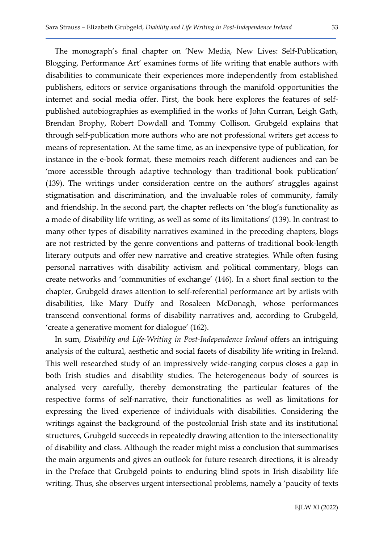The monograph's final chapter on 'New Media, New Lives: Self-Publication, Blogging, Performance Art' examines forms of life writing that enable authors with disabilities to communicate their experiences more independently from established publishers, editors or service organisations through the manifold opportunities the internet and social media offer. First, the book here explores the features of selfpublished autobiographies as exemplified in the works of John Curran, Leigh Gath, Brendan Brophy, Robert Dowdall and Tommy Collison. Grubgeld explains that through self-publication more authors who are not professional writers get access to means of representation. At the same time, as an inexpensive type of publication, for instance in the e-book format, these memoirs reach different audiences and can be 'more accessible through adaptive technology than traditional book publication' (139). The writings under consideration centre on the authors' struggles against stigmatisation and discrimination, and the invaluable roles of community, family and friendship. In the second part, the chapter reflects on 'the blog's functionality as a mode of disability life writing, as well as some of its limitations' (139). In contrast to many other types of disability narratives examined in the preceding chapters, blogs are not restricted by the genre conventions and patterns of traditional book-length literary outputs and offer new narrative and creative strategies. While often fusing

chapter, Grubgeld draws attention to self-referential performance art by artists with disabilities, like Mary Duffy and Rosaleen McDonagh, whose performances transcend conventional forms of disability narratives and, according to Grubgeld, 'create a generative moment for dialogue' (162). In sum, Disability and Life-Writing in Post-Independence Ireland offers an intriguing analysis of the cultural, aesthetic and social facets of disability life writing in Ireland. This well researched study of an impressively wide-ranging corpus closes a gap in both Irish studies and disability studies. The heterogeneous body of sources is analysed very carefully, thereby demonstrating the particular features of the

personal narratives with disability activism and political commentary, blogs can create networks and 'communities of exchange' (146). In a short final section to the

respective forms of self-narrative, their functionalities as well as limitations for expressing the lived experience of individuals with disabilities. Considering the writings against the background of the postcolonial Irish state and its institutional structures, Grubgeld succeeds in repeatedly drawing attention to the intersectionality of disability and class. Although the reader might miss a conclusion that summarises the main arguments and gives an outlook for future research directions, it is already in the Preface that Grubgeld points to enduring blind spots in Irish disability life writing. Thus, she observes urgent intersectional problems, namely a 'paucity of texts